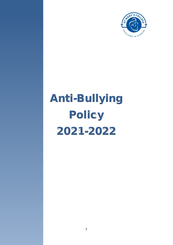

# Anti-Bullying Policy 2021-2022

**Contents**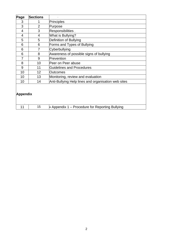| Page            | <b>Sections</b> |                                                     |
|-----------------|-----------------|-----------------------------------------------------|
| 3               |                 | <b>Principles</b>                                   |
| 3               | $\overline{2}$  | Purpose                                             |
| 4               | 3               | Responsibilities.                                   |
| 4               | 4               | What is Bullying?                                   |
| 5               | 5               | Definition of Bullying                              |
| 6               | 6               | Forms and Types of Bullying                         |
| 6               | 7               | Cyberbullying                                       |
| 6               | 8               | Awareness of possible signs of bullying             |
| 7               | 9               | Prevention                                          |
| 8               | 10              | Peer on Peer abuse                                  |
| 9               | 11              | <b>Guidelines and Procedures</b>                    |
| 10              | 12              | <b>Outcomes</b>                                     |
| 10              | 13              | Monitoring, review and evaluation                   |
| 10              | 14              | Anti-Bullying Help lines and organisation web sites |
| <b>Appendix</b> |                 |                                                     |
| 11              | 15              | • Appendix 1 – Procedure for Reporting Bullying     |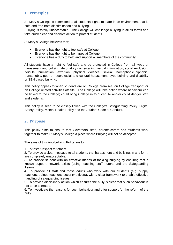# **1. Principles**

St. Mary's College is committed to all students' rights to learn in an environment that is safe and free from discrimination and bullying.

Bullying is totally unacceptable. The College will challenge bullying in all its forms and take quick clear and decisive action to protect students.

St Mary's College believes that;

- Everyone has the right to feel safe at College
- Everyone has the right to be happy at College
- Everyone has a duty to help and support all members of the community.

All students have a right to feel safe and be protected in College from all types of harassment and bullying: derogatory name-calling; verbal intimidation; social exclusion; ridicule; humiliation; extortion; physical violence; sexual, homophobic, biphobic, transphobic, peer on peer, racial and cultural harassment; cyberbullying and disability or SEN based bullying.

This policy applies to when students are on College premises; on College transport, or on College related activities off site. The College will take action where behaviour can be linked to the College; could bring College in to disrepute and/or could danger staff and students.

This policy is seen to be closely linked with the College's Safeguarding Policy, Digital Safety Policy, Mental Health Policy and the Student Code of Conduct.

### **2. Purpose**

This policy aims to ensure that Governors, staff, parents/carers and students work together to make St Mary's College a place where Bullying will not be accepted.

The aims of this Anti-bullying Policy are to:

1. To foster respect for others.

2. To provide a clear message to all students that harassment and bullying, in any form, are completely unacceptable.

3. To provide student with an effective means of tackling bullying by ensuring that a known support network exists (using teaching staff, tutors and the Safeguarding Team).

4. To provide all staff and those adults who work with our students (e.g. supply teachers, trainee teachers, security officers), with a clear framework to enable effective handling of safeguarding issues.

5. To provide disciplinary action which ensures the bully is clear that such behaviour is not to be tolerated.

6. To investigate the reasons for such behaviour and offer support for the reform of the bully.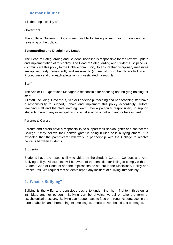## **3. Responsibilities**

It is the responsibility of:

#### **Governors**

The College Governing Body is responsible for taking a lead role in monitoring and reviewing of the policy.

#### **Safeguarding and Disciplinary Leads**

The Head of Safeguarding and Student Discipline is responsible for the review, update and implementation of this policy. The Head of Safeguarding and Student Discipline will communicate this policy to the College community, to ensure that disciplinary measures are applied fairly, consistently and reasonably (in line with our Disciplinary Policy and Procedures) and that each allegation is investigated thoroughly.

#### **Staff**

The Senior HR Operations Manager is responsible for ensuring anti-bullying training for staff.

All staff, including; Governors, Senior Leadership, teaching and non-teaching staff have a responsibility to support, uphold and implement this policy accordingly. Tutors, teaching staff and the Safeguarding Team have a particular responsibility to support students through any investigation into an allegation of bullying and/or harassment.

#### **Parents & Carers**

Parents and carers have a responsibility to support their son/daughter and contact the College if they believe their son/daughter is being bullied or is bullying others. It is expected that the parent/carer will work in partnership with the College to resolve conflicts between students.

#### **Students**

Students have the responsibility to abide by the Student Code of Conduct and Anti-Bullying policy. All students will be aware of the penalties for failing to comply with the Student Code of Conduct and the implications as set out in the Disciplinary Policy and Procedures. We request that students report any incident of bullying immediately.

## **4. What is Bullying?**

Bullying is the wilful and conscious desire to undermine, hurt, frighten, threaten or intimidate another person. Bullying can be physical verbal or take the form of psychological pressure. Bullying can happen face to face or through cyberspace, in the form of abusive and threatening text messages, emails or web based text or images.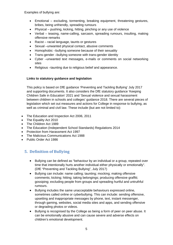Examples of bullying are:

- Emotional excluding, tormenting, breaking equipment, threatening gestures, bribes, being unfriendly, spreading rumours
- Physical pushing, kicking, hitting, pinching or any use of violence
- Verbal teasing, name-calling, sarcasm, spreading rumours, insulting, making offensive remarks
- Racist racial language, taunts or gestures
- Sexual –unwanted physical contact, abusive comments
- Homophobic –bullying someone because of their sexuality
- Trans-gender –bullying someone with trans-gender identity
- Cyber –unwanted text messages, e-mails or comments on social networking sites
- Religious –taunting due to religious belief and appearance.

#### **Links to statutory guidance and legislation**

This policy is based on DfE guidance 'Preventing and Tackling Bullying' July 2017 and supporting documents. It also considers the DfE statutory guidance 'Keeping Children Safe in Education' 2021 and 'Sexual violence and sexual harassment between children in schools and colleges' guidance 2018. There are several pieces of legislation which set out measures and actions for College in response to bullying, as well as criminal and civil law. These include (but are not limited to):

- The Education and Inspection Act 2006, 2011
- The Equality Act 2010
- The Children Act 1989
- The Education (Independent School Standards) Regulations 2014
- Protection from Harassment Act 1997
- The Malicious Communications Act 1988
- Public Order Act 1986

# **5. Definition of Bullying**

- Bullying can be defined as "behaviour by an individual or a group, repeated over time that intentionally hurts another individual either physically or emotionally". (DfE "Preventing and Tackling Bullying", July 2017)
- Bullying can include: name calling; taunting; mocking; making offensive comments; kicking; hitting; taking belongings; producing offensive graffiti; gossiping; excluding people from groups and spreading hurtful and untruthful rumours.
- Bullying includes the same unacceptable behaviours expressed online, sometimes called online or cyberbullying. This can include: sending offensive, upsetting and inappropriate messages by phone, text, instant messenger, through gaming, websites, social media sites and apps, and sending offensive or degrading photos or videos.
- Bullying is recognised by the College as being a form of peer on peer abuse. It can be emotionally abusive and can cause severe and adverse effects on children's emotional development.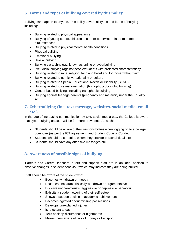# **6. Forms and types of bullying covered by this policy**

Bullying can happen to anyone. This policy covers all types and forms of bullying including:

- Bullying related to physical appearance
- Bullying of young carers, children in care or otherwise related to home circumstances
- Bullying related to physical/mental health conditions
- Physical bullying
- Emotional bullying
- Sexual bullying
- Bullying via technology, known as online or cyberbullying
- Prejudicial bullying (against people/students with protected characteristics):
- Bullying related to race, religion, faith and belief and for those without faith
- Bullying related to ethnicity, nationality or culture
- Bullying related to Special Educational Needs or Disability (SEND)
- Bullying related to sexual orientation (homophobic/biphobic bullying)
- Gender based bullying, including transphobic bullying
- Bullying against teenage parents (pregnancy and maternity under the Equality Act)

## **7. Cyberbullying (inc: text message, websites, social media, email etc.)**

In the age of increasing communication by text, social media etc., the College is aware that cyber bullying as such will be far more prevalent. As such:

- Students should be aware of their responsibilities when logging on to a college computer (as per the ICT agreement, and Student Code of Conduct)
- Students should be careful to whom they provide personal details to
- Students should save any offensive messages etc.

## **8. Awareness of possible signs of bullying**

Parents and Carers, teachers, tutors and support staff are in an ideal position to observe changes in student behaviour which may indicate they are being bullied.

Staff should be aware of the student who:

- Becomes withdrawn or moody
- Becomes uncharacteristically withdrawn or argumentative
- Displays uncharacteristic aggressive or depressive behaviour
- Exhibits a sudden lowering of their self-esteem
- Shows a sudden decline in academic achievement
- Becomes agitated about missing possessions
- Develops unexplained injuries
- Is reluctant to eat
- Tells of sleep disturbance or nightmares
- Makes them aware of lack of money or transport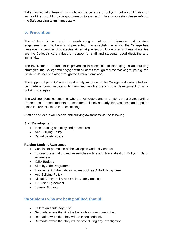Taken individually these signs might not be because of bullying, but a combination of some of them could provide good reason to suspect it. In any occasion please refer to the Safeguarding team immediately.

## **9. Prevention**

The College is committed to establishing a culture of tolerance and positive engagement so that bullying is prevented. To establish this ethos, the College has developed a number of strategies aimed at prevention. Underpinning these strategies are the College's core values of respect for staff and students, good discipline and inclusivity.

The involvement of students in prevention is essential. In managing its anti-bullying strategies, the College will engage with students through representative groups e.g. the Student Council and also through the tutorial framework.

The support of parents/carers is extremely important to the College and every effort will be made to communicate with them and involve them in the development of antibullying strategies.

The College identifies students who are vulnerable and or at risk via our Safeguarding Procedures. These students are monitored closely so early interventions can be put in place in prevent issues from escalating.

Staff and students will receive anti bullying awareness via the following;

#### **Staff Development:**

- Inset training on policy and procedures
- Anti-Bullying Policy
- Digital Safety Policy

#### **Raising Student Awareness:**

- Consistent promotion of the College's Code of Conduct
- Tutorial presentation and Assemblies Prevent, Radicalisation, Bullying, Gang Awareness
- IDEA Badges
- Side by Side Programme
- Involvement in thematic initiatives such as Anti-Bullying week
- Anti-Bullying Policy
- Digital Safety Policy and Online Safety training
- ICT User Agreement
- Learner Surveys

## **9a Students who are being bullied should:**

- Talk to an adult they trust
- Be made aware that it is the bully who is wrong –not them
- Be made aware that they will be taken seriously
- Be made aware that they will be safe during any investigation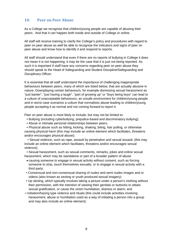### **10. Peer on Peer Abuse**

As a College we recognise that children/young people are capable of abusing their peers. And that it can happen both inside and outside of College or online.

All staff will receive training to clarify the College's policy and procedures with regard to peer on peer abuse as well be able to recognise the indicators and signs of peer on peer abuse and know how to identify it and respond to reports.

All staff should understand that even if there are no reports of bullying in College it does not mean it is not happening, it may be the case that it is just not being reported. As such it is important if staff have any concerns regarding peer on peer abuse they should speak to the Head of Safeguarding and Student Discipline/Safeguarding and Disciplinary Officer.

It is essential that all staff understand the importance of challenging inappropriate behaviours between peers, many of which are listed below, that are actually abusive in nature. Downplaying certain behaviours, for example dismissing sexual harassment as "just banter", "just having a laugh", "part of growing up" or "boys being boys" can lead to a culture of unacceptable behaviours, an unsafe environment for children/young people and in worst case scenarios a culture that normalises abuse leading to children/young people accepting it as normal and not coming forward to report it.

Peer on peer abuse is most likely to include, but may not be limited to:

- Bullying (including cyberbullying, prejudice-based and discriminatory bullying);
- Abuse in intimate personal relationships between peers;

• Physical abuse such as hitting, kicking, shaking, biting, hair pulling, or otherwise causing physical harm (this may include an online element which facilitates, threatens and/or encourages physical abuse);

• Sexual violence, such as rape, assault by penetration and sexual assault; (this may include an online element which facilitates, threatens and/or encourages sexual violence);

• Sexual harassment, such as sexual comments, remarks, jokes and online sexual harassment, which may be standalone or part of a broader pattern of abuse

- causing someone to engage in sexual activity without consent, such as forcing someone to strip, touch themselves sexually, or to engage in sexual activity with a third party;
- Consensual and non-consensual sharing of nudes and semi nudes images and or videos (also known as sexting or youth produced sexual imagery);
- Up skirting, which typically involves taking a picture under a person's clothing without their permission, with the intention of viewing their genitals or buttocks to obtain sexual gratification, or cause the victim humiliation, distress or alarm; and
- Initiation/hazing type violence and rituals (this could include activities involving harassment, abuse or humiliation used as a way of initiating a person into a group and may also include an online element).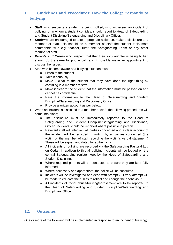# **11. Guidelines and Procedures: How the College responds to bullying**

- *Staff,* who suspects a student is being bullied, who witnesses an incident of bullying, or in whom a student confides, should report to Head of Safeguarding and Student Discipline/Safeguarding and Disciplinary Officer.
- *Students* are encouraged to take appropriate action i.e. make a disclosure to a member of staff, this should be a member of staff the student feels most comfortable with e.g. teacher, tutor, the Safeguarding Team or any other member of staff.
- *Parents and Carers* who suspect that that their son/daughter is being bullied should do the same by phone call, and if possible make an appointment to discuss the issues.
- Staff who become aware of a bullying situation must:
	- o Listen to the student
	- o Take it seriously
	- o Make it clear to the student that they have done the right thing by confiding in a member of staff
	- o Make it clear to the student that the information must be passed on and cannot be confidential
	- o Pass the information to the Head of Safeguarding and Student Discipline/Safeguarding and Disciplinary Officer.
	- o Provide a written account as per below.
- When an incident is disclosed to a member of staff, the following procedures will come into place;
	- o The disclosure must be immediately reported to the Head of Safeguarding and Student Discipline/Safeguarding and Disciplinary Officer. Incidents should be reported where possible in person.
	- o Relevant staff will interview all parties concerned and a clear account of the incident will be recorded in writing by all parties concerned (the victim or the member of staff recording the victim's verbal statement.) These will be signed and dated for authenticity.
	- o All incidents of bullying are recorded via the Safeguarding Pastoral Log on Cedar; in addition to this all bullying incidents will be logged on the central Safeguarding register kept by the Head of Safeguarding and Student Discipline.
	- o Where required parents will be contacted to ensure they are kept fully informed.
	- o Where necessary and appropriate, the police will be consulted.
	- o Incidents will be investigated and dealt with promptly. Every attempt will be made to educate the bullies to reflect and change their behaviour.
	- o All incidents of racial abuse/bullying/harassment are to be reported to the Head of Safeguarding and Student Discipline/Safeguarding and Disciplinary Officer.

#### **12. Outcomes**

One or more of the following will be implemented in response to an incident of bullying;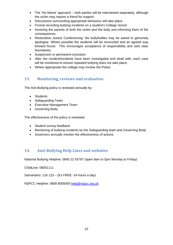- The "No blame' approach both parties will be interviewed separately, although the victim may require a friend for support.
- Discussions surrounding appropriate behaviour will take place
- Formal recording bullying incidents on a student's College record
- Involving the parents of both the victim and the bully and informing them of the consequences.
- Restorative Justice Conferencing: the bully/bullies may be asked to genuinely apologise. Where possible the students will be reconciled and an agreed way forward found. This encourages acceptance of responsibility and sets clear boundaries.
- Suspension or permanent exclusion
- After the incident/incidents have been investigated and dealt with, each case will be monitored to ensure repeated bullying does not take place.
- Where appropriate the college may involve the Police.

## **13. Monitoring, reviews and evaluation**

The Anti-Bullying policy is reviewed annually by:

- Students
- Safeguarding Team
- Executive Management Team
- Governing Body

The effectiveness of the policy is reviewed:

- Student survey feedback
- Monitoring of bullying incidents by the Safeguarding team and Governing Body
- Governors annually monitor the effectiveness of actions

## **14. Anti-Bullying Help Lines and websites**

National Bullying Helpline: 0845 22 55787 (open 9am to 5pm Monday to Friday)

ChildLine: 08001111

Samaritans: 116 123 – (it's FREE -24 hours a day)

NSPCC Helpline: 0808 8005000 [help@nspcc.org.uk](mailto:help@nspcc.org.uk)